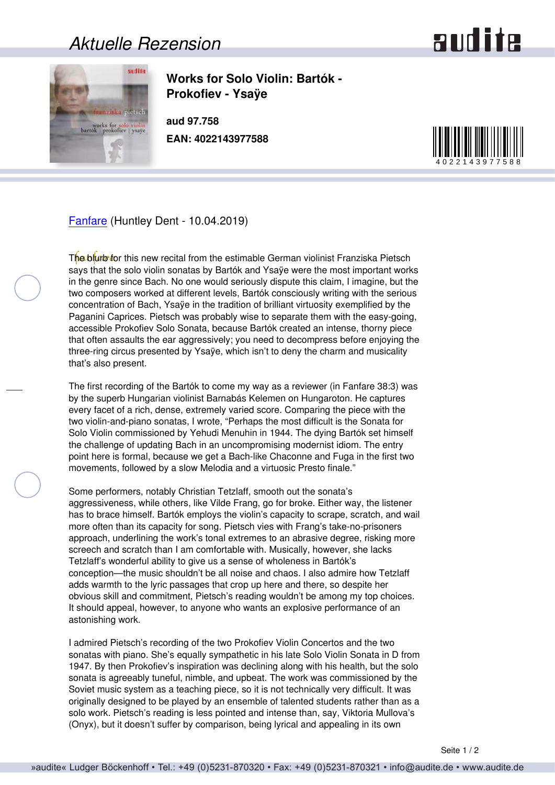## *Aktuelle Rezension*



**Works for Solo Violin: Bartók - Prokofiev - Ysaÿe**

**aud 97.758 EAN: 4022143977588**



[Fanfare](http://www.fanfaremag.com/) (Huntley Dent - 10.04.2019)

The blurb for this new recital from the estimable German violinist Franziska Pietsch says that the solo violin sonatas by Bartók and Ysaÿe were the most important works in the genre since Bach. No one would seriously dispute this claim, I imagine, but the two composers worked at different levels, Bartók consciously writing with the serious concentration of Bach, Ysaÿe in the tradition of brilliant virtuosity exemplified by the Paganini Caprices. Pietsch was probably wise to separate them with the easy-going, accessible Prokofiev Solo Sonata, because Bartók created an intense, thorny piece that often assaults the ear aggressively; you need to decompress before enjoying the three-ring circus presented by Ysaÿe, which isn't to deny the charm and musicality that's also present.

The first recording of the Bartók to come my way as a reviewer (in Fanfare 38:3) was by the superb Hungarian violinist Barnabás Kelemen on Hungaroton. He captures every facet of a rich, dense, extremely varied score. Comparing the piece with the two violin-and-piano sonatas, I wrote, "Perhaps the most difficult is the Sonata for Solo Violin commissioned by Yehudi Menuhin in 1944. The dying Bartók set himself the challenge of updating Bach in an uncompromising modernist idiom. The entry point here is formal, because we get a Bach-like Chaconne and Fuga in the first two movements, followed by a slow Melodia and a virtuosic Presto finale."

Some performers, notably Christian Tetzlaff, smooth out the sonata's aggressiveness, while others, like Vilde Frang, go for broke. Either way, the listener has to brace himself. Bartók employs the violin's capacity to scrape, scratch, and wail more often than its capacity for song. Pietsch vies with Frang's take-no-prisoners approach, underlining the work's tonal extremes to an abrasive degree, risking more screech and scratch than I am comfortable with. Musically, however, she lacks Tetzlaff's wonderful ability to give us a sense of wholeness in Bartók's conception—the music shouldn't be all noise and chaos. I also admire how Tetzlaff adds warmth to the lyric passages that crop up here and there, so despite her obvious skill and commitment, Pietsch's reading wouldn't be among my top choices. It should appeal, however, to anyone who wants an explosive performance of an astonishing work.

I admired Pietsch's recording of the two Prokofiev Violin Concertos and the two sonatas with piano. She's equally sympathetic in his late Solo Violin Sonata in D from 1947. By then Prokofiev's inspiration was declining along with his health, but the solo sonata is agreeably tuneful, nimble, and upbeat. The work was commissioned by the Soviet music system as a teaching piece, so it is not technically very difficult. It was originally designed to be played by an ensemble of talented students rather than as a solo work. Pietsch's reading is less pointed and intense than, say, Viktoria Mullova's (Onyx), but it doesn't suffer by comparison, being lyrical and appealing in its own